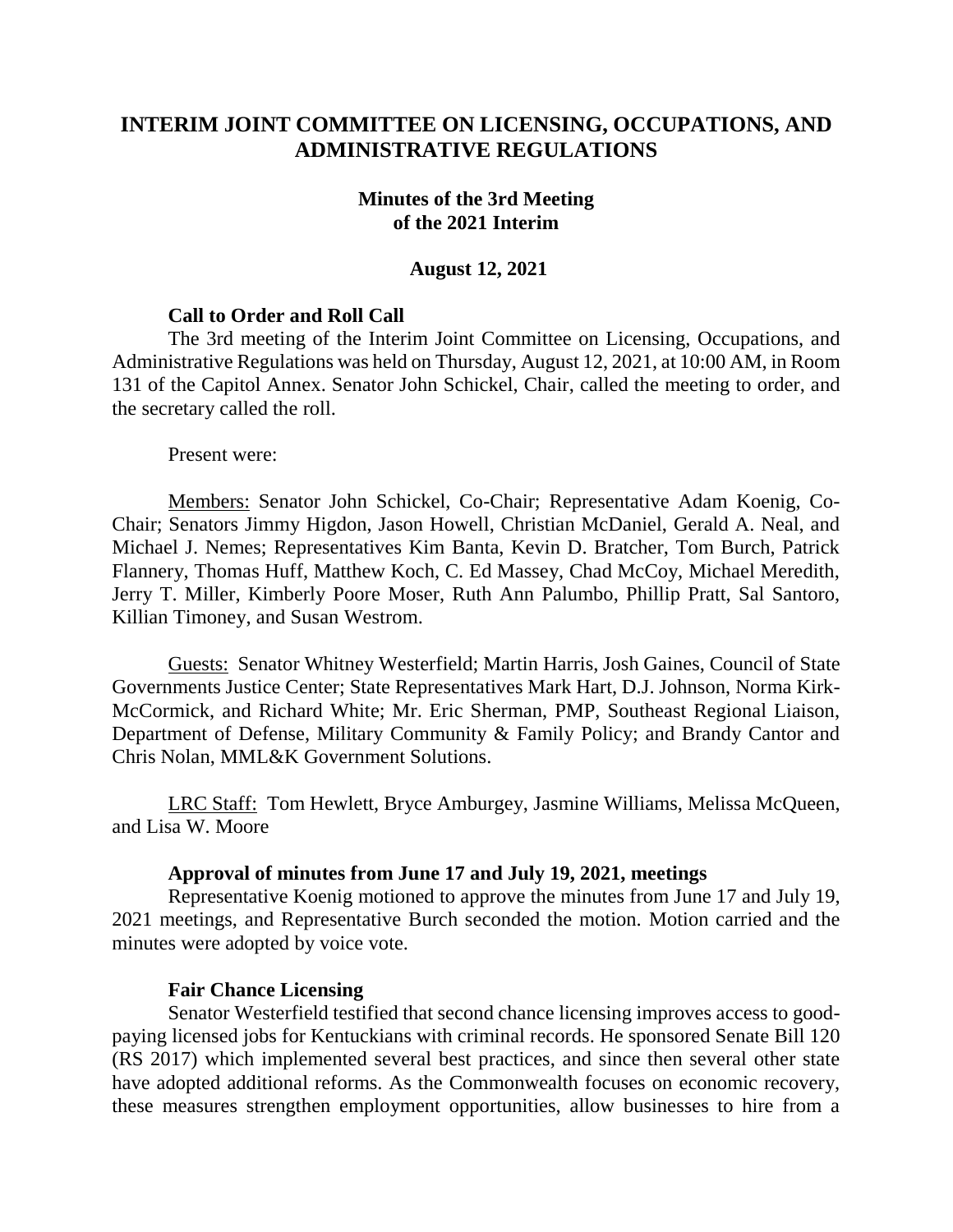# **INTERIM JOINT COMMITTEE ON LICENSING, OCCUPATIONS, AND ADMINISTRATIVE REGULATIONS**

### **Minutes of the 3rd Meeting of the 2021 Interim**

# **August 12, 2021**

# **Call to Order and Roll Call**

The 3rd meeting of the Interim Joint Committee on Licensing, Occupations, and Administrative Regulations was held on Thursday, August 12, 2021, at 10:00 AM, in Room 131 of the Capitol Annex. Senator John Schickel, Chair, called the meeting to order, and the secretary called the roll.

Present were:

Members: Senator John Schickel, Co-Chair; Representative Adam Koenig, Co-Chair; Senators Jimmy Higdon, Jason Howell, Christian McDaniel, Gerald A. Neal, and Michael J. Nemes; Representatives Kim Banta, Kevin D. Bratcher, Tom Burch, Patrick Flannery, Thomas Huff, Matthew Koch, C. Ed Massey, Chad McCoy, Michael Meredith, Jerry T. Miller, Kimberly Poore Moser, Ruth Ann Palumbo, Phillip Pratt, Sal Santoro, Killian Timoney, and Susan Westrom.

Guests: Senator Whitney Westerfield; Martin Harris, Josh Gaines, Council of State Governments Justice Center; State Representatives Mark Hart, D.J. Johnson, Norma Kirk-McCormick, and Richard White; Mr. Eric Sherman, PMP, Southeast Regional Liaison, Department of Defense, Military Community & Family Policy; and Brandy Cantor and Chris Nolan, MML&K Government Solutions.

LRC Staff: Tom Hewlett, Bryce Amburgey, Jasmine Williams, Melissa McQueen, and Lisa W. Moore

#### **Approval of minutes from June 17 and July 19, 2021, meetings**

Representative Koenig motioned to approve the minutes from June 17 and July 19, 2021 meetings, and Representative Burch seconded the motion. Motion carried and the minutes were adopted by voice vote.

#### **Fair Chance Licensing**

Senator Westerfield testified that second chance licensing improves access to goodpaying licensed jobs for Kentuckians with criminal records. He sponsored Senate Bill 120 (RS 2017) which implemented several best practices, and since then several other state have adopted additional reforms. As the Commonwealth focuses on economic recovery, these measures strengthen employment opportunities, allow businesses to hire from a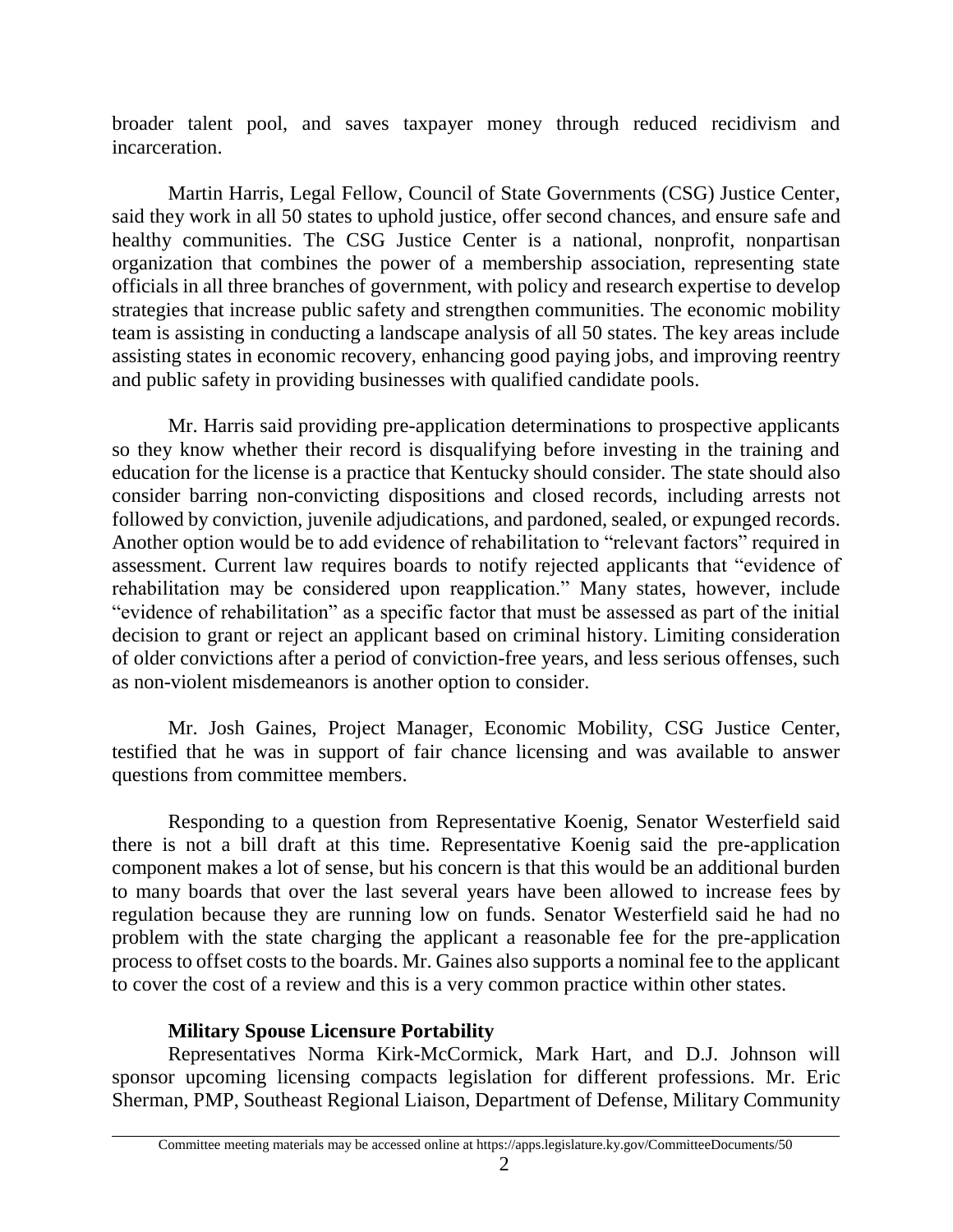broader talent pool, and saves taxpayer money through reduced recidivism and incarceration.

Martin Harris, Legal Fellow, Council of State Governments (CSG) Justice Center, said they work in all 50 states to uphold justice, offer second chances, and ensure safe and healthy communities. The CSG Justice Center is a national, nonprofit, nonpartisan organization that combines the power of a membership association, representing state officials in all three branches of government, with policy and research expertise to develop strategies that increase public safety and strengthen communities. The economic mobility team is assisting in conducting a landscape analysis of all 50 states. The key areas include assisting states in economic recovery, enhancing good paying jobs, and improving reentry and public safety in providing businesses with qualified candidate pools.

Mr. Harris said providing pre-application determinations to prospective applicants so they know whether their record is disqualifying before investing in the training and education for the license is a practice that Kentucky should consider. The state should also consider barring non-convicting dispositions and closed records, including arrests not followed by conviction, juvenile adjudications, and pardoned, sealed, or expunged records. Another option would be to add evidence of rehabilitation to "relevant factors" required in assessment. Current law requires boards to notify rejected applicants that "evidence of rehabilitation may be considered upon reapplication." Many states, however, include "evidence of rehabilitation" as a specific factor that must be assessed as part of the initial decision to grant or reject an applicant based on criminal history. Limiting consideration of older convictions after a period of conviction-free years, and less serious offenses, such as non-violent misdemeanors is another option to consider.

Mr. Josh Gaines, Project Manager, Economic Mobility, CSG Justice Center, testified that he was in support of fair chance licensing and was available to answer questions from committee members.

Responding to a question from Representative Koenig, Senator Westerfield said there is not a bill draft at this time. Representative Koenig said the pre-application component makes a lot of sense, but his concern is that this would be an additional burden to many boards that over the last several years have been allowed to increase fees by regulation because they are running low on funds. Senator Westerfield said he had no problem with the state charging the applicant a reasonable fee for the pre-application process to offset costs to the boards. Mr. Gaines also supports a nominal fee to the applicant to cover the cost of a review and this is a very common practice within other states.

#### **Military Spouse Licensure Portability**

Representatives Norma Kirk-McCormick, Mark Hart, and D.J. Johnson will sponsor upcoming licensing compacts legislation for different professions. Mr. Eric Sherman, PMP, Southeast Regional Liaison, Department of Defense, Military Community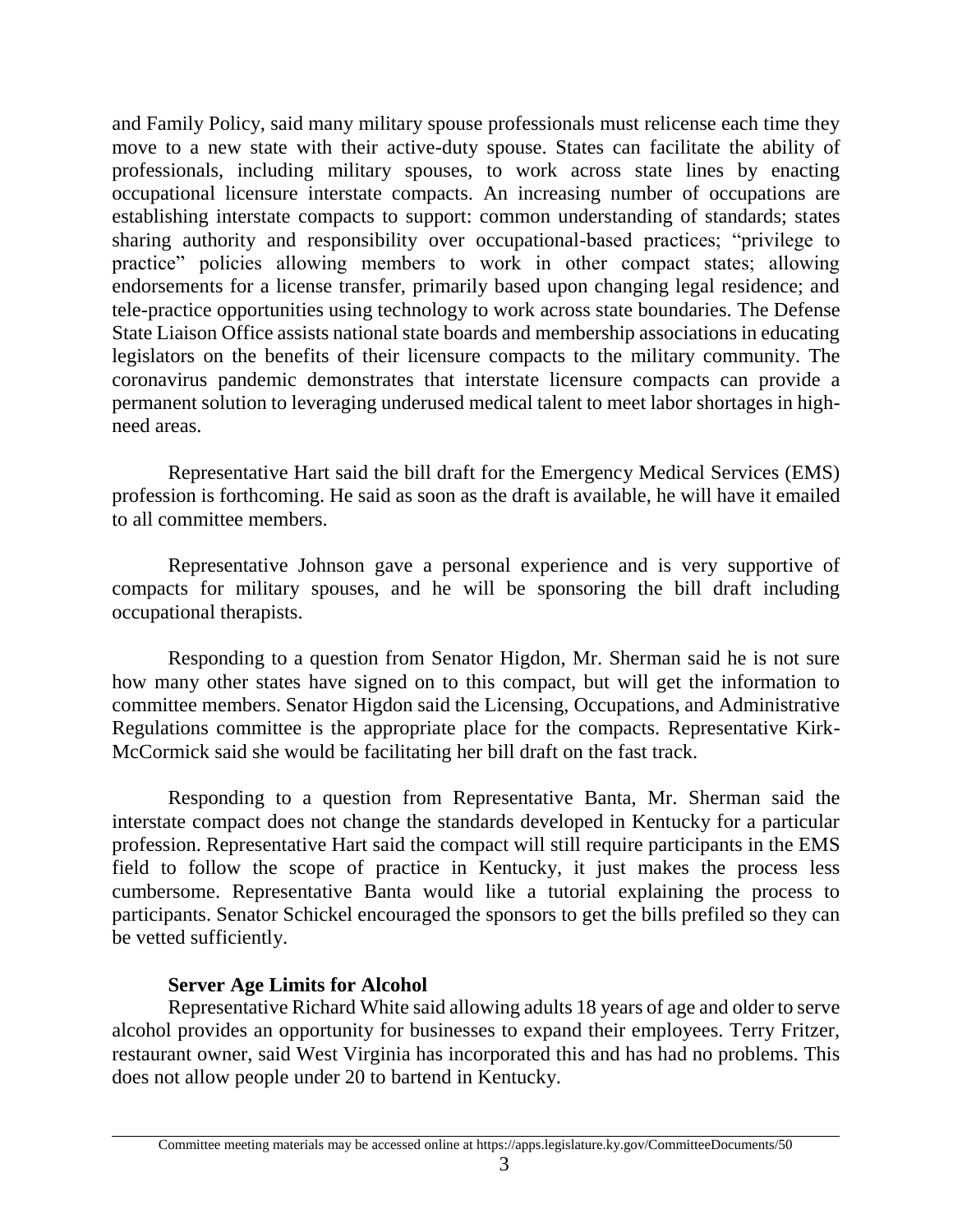and Family Policy, said many military spouse professionals must relicense each time they move to a new state with their active-duty spouse. States can facilitate the ability of professionals, including military spouses, to work across state lines by enacting occupational licensure interstate compacts. An increasing number of occupations are establishing interstate compacts to support: common understanding of standards; states sharing authority and responsibility over occupational-based practices; "privilege to practice" policies allowing members to work in other compact states; allowing endorsements for a license transfer, primarily based upon changing legal residence; and tele-practice opportunities using technology to work across state boundaries. The Defense State Liaison Office assists national state boards and membership associations in educating legislators on the benefits of their licensure compacts to the military community. The coronavirus pandemic demonstrates that interstate licensure compacts can provide a permanent solution to leveraging underused medical talent to meet labor shortages in highneed areas.

Representative Hart said the bill draft for the Emergency Medical Services (EMS) profession is forthcoming. He said as soon as the draft is available, he will have it emailed to all committee members.

Representative Johnson gave a personal experience and is very supportive of compacts for military spouses, and he will be sponsoring the bill draft including occupational therapists.

Responding to a question from Senator Higdon, Mr. Sherman said he is not sure how many other states have signed on to this compact, but will get the information to committee members. Senator Higdon said the Licensing, Occupations, and Administrative Regulations committee is the appropriate place for the compacts. Representative Kirk-McCormick said she would be facilitating her bill draft on the fast track.

Responding to a question from Representative Banta, Mr. Sherman said the interstate compact does not change the standards developed in Kentucky for a particular profession. Representative Hart said the compact will still require participants in the EMS field to follow the scope of practice in Kentucky, it just makes the process less cumbersome. Representative Banta would like a tutorial explaining the process to participants. Senator Schickel encouraged the sponsors to get the bills prefiled so they can be vetted sufficiently.

# **Server Age Limits for Alcohol**

Representative Richard White said allowing adults 18 years of age and older to serve alcohol provides an opportunity for businesses to expand their employees. Terry Fritzer, restaurant owner, said West Virginia has incorporated this and has had no problems. This does not allow people under 20 to bartend in Kentucky.